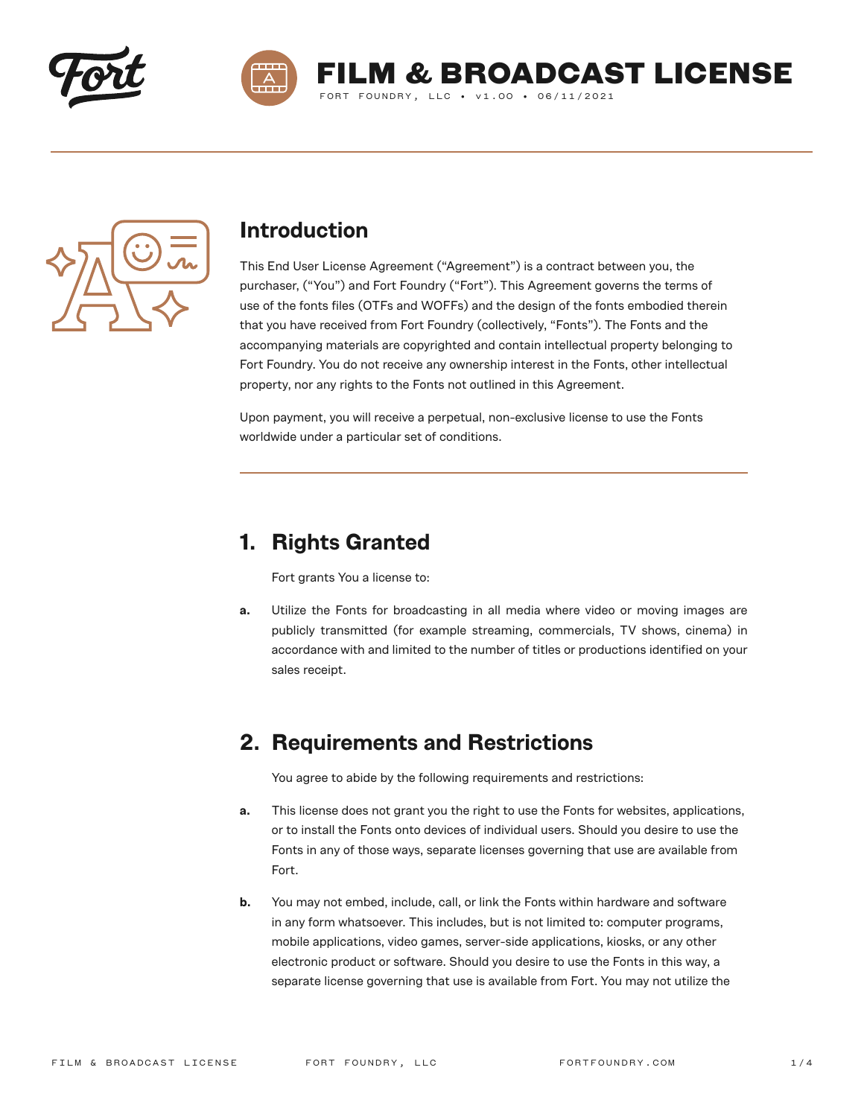



**M & BROADCAST LICENSE** 

FORT FOUNDRY, LLC . v1.00 . 06/11/2021



#### **Introduction**

This End User License Agreement ("Agreement") is a contract between you, the purchaser, ("You") and Fort Foundry ("Fort"). This Agreement governs the terms of use of the fonts files (OTFs and WOFFs) and the design of the fonts embodied therein that you have received from Fort Foundry (collectively, "Fonts"). The Fonts and the accompanying materials are copyrighted and contain intellectual property belonging to Fort Foundry. You do not receive any ownership interest in the Fonts, other intellectual property, nor any rights to the Fonts not outlined in this Agreement.

Upon payment, you will receive a perpetual, non-exclusive license to use the Fonts worldwide under a particular set of conditions.

### **1. Rights Granted**

Fort grants You a license to:

**a.** Utilize the Fonts for broadcasting in all media where video or moving images are publicly transmitted (for example streaming, commercials, TV shows, cinema) in accordance with and limited to the number of titles or productions identified on your sales receipt.

### **2. Requirements and Restrictions**

You agree to abide by the following requirements and restrictions:

- **a.** This license does not grant you the right to use the Fonts for websites, applications, or to install the Fonts onto devices of individual users. Should you desire to use the Fonts in any of those ways, separate licenses governing that use are available from Fort.
- **b.** You may not embed, include, call, or link the Fonts within hardware and software in any form whatsoever. This includes, but is not limited to: computer programs, mobile applications, video games, server-side applications, kiosks, or any other electronic product or software. Should you desire to use the Fonts in this way, a separate license governing that use is available from Fort. You may not utilize the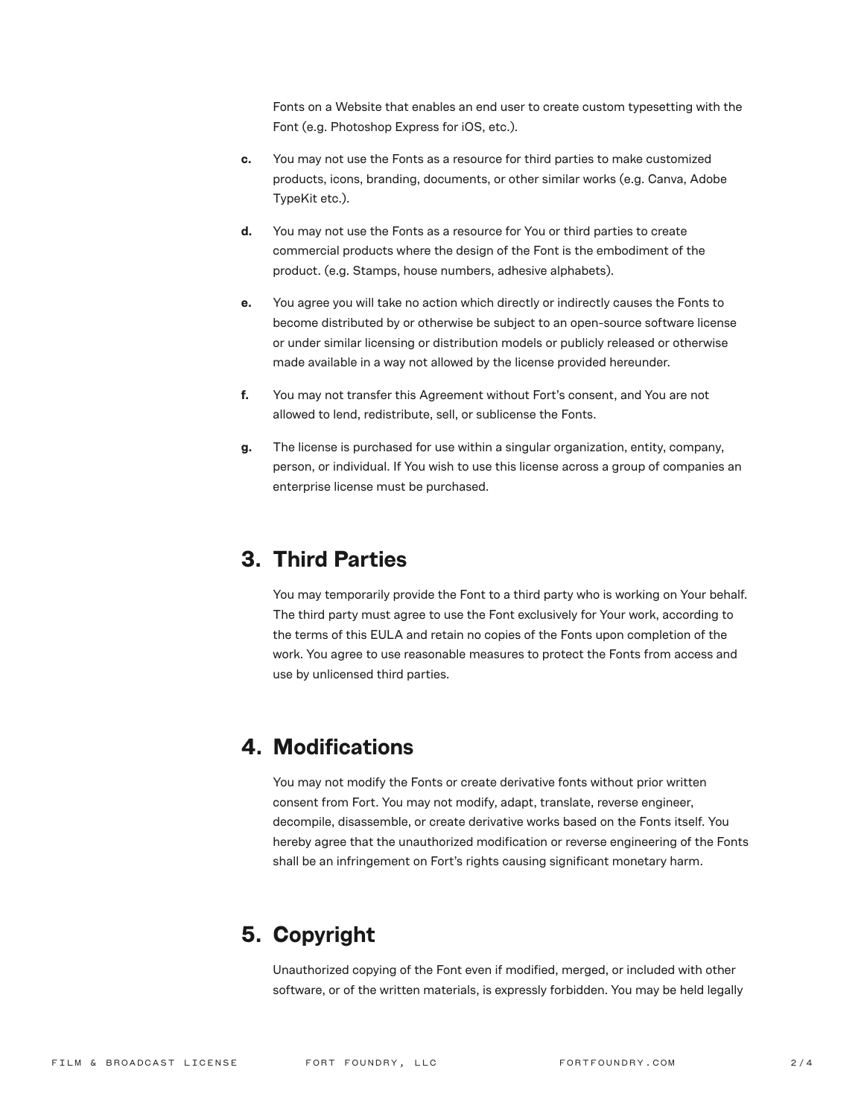Fonts on a Website that enables an end user to create custom typesetting with the Font (e.g. Photoshop Express for iOS, etc.).

- **c.** You may not use the Fonts as a resource for third parties to make customized products, icons, branding, documents, or other similar works (e.g. Canva, Adobe TypeKit etc.).
- **d.** You may not use the Fonts as a resource for You or third parties to create commercial products where the design of the Font is the embodiment of the product. (e.g. Stamps, house numbers, adhesive alphabets).
- **e.** You agree you will take no action which directly or indirectly causes the Fonts to become distributed by or otherwise be subject to an open-source software license or under similar licensing or distribution models or publicly released or otherwise made available in a way not allowed by the license provided hereunder.
- **f.** You may not transfer this Agreement without Fort's consent, and You are not allowed to lend, redistribute, sell, or sublicense the Fonts.
- **g.** The license is purchased for use within a singular organization, entity, company, person, or individual. If You wish to use this license across a group of companies an enterprise license must be purchased.

### **3. Third Parties**

You may temporarily provide the Font to a third party who is working on Your behalf. The third party must agree to use the Font exclusively for Your work, according to the terms of this EULA and retain no copies of the Fonts upon completion of the work. You agree to use reasonable measures to protect the Fonts from access and use by unlicensed third parties.

### **4. Modifications**

You may not modify the Fonts or create derivative fonts without prior written consent from Fort. You may not modify, adapt, translate, reverse engineer, decompile, disassemble, or create derivative works based on the Fonts itself. You hereby agree that the unauthorized modification or reverse engineering of the Fonts shall be an infringement on Fort's rights causing significant monetary harm.

# **5. Copyright**

Unauthorized copying of the Font even if modified, merged, or included with other software, or of the written materials, is expressly forbidden. You may be held legally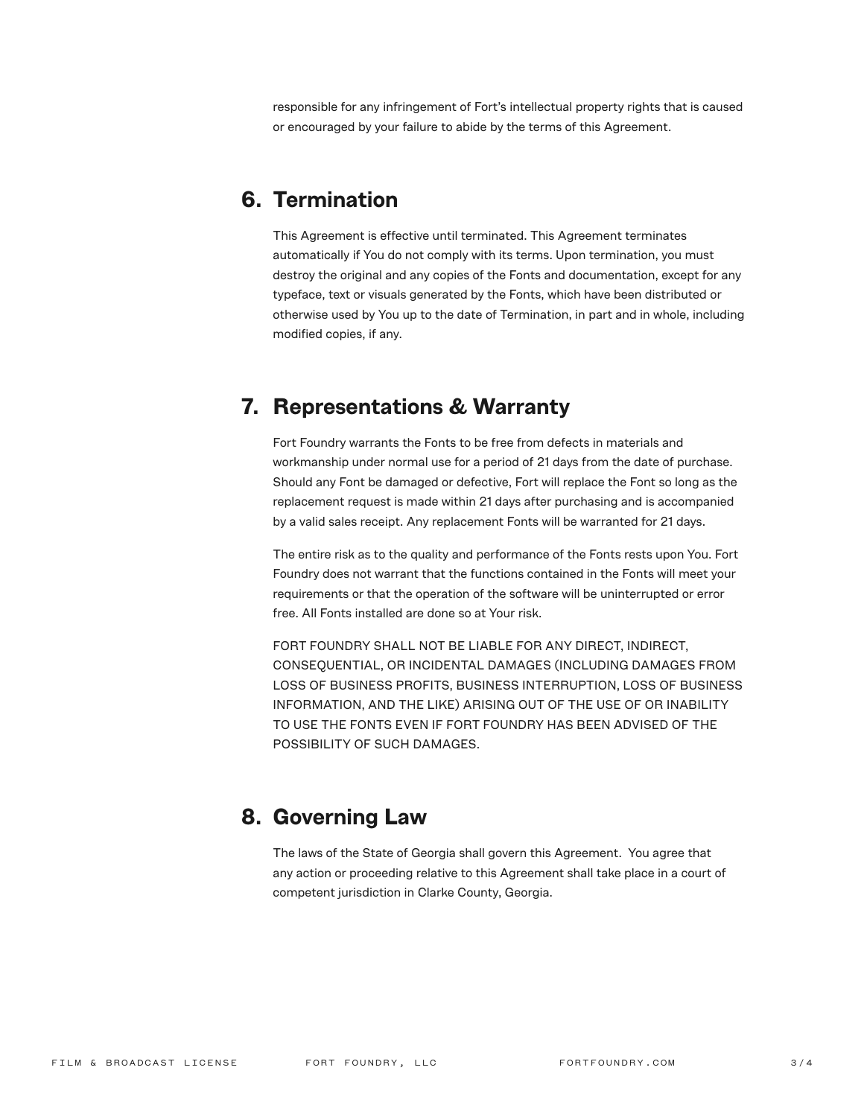responsible for any infringement of Fort's intellectual property rights that is caused or encouraged by your failure to abide by the terms of this Agreement.

## **6. Termination**

This Agreement is effective until terminated. This Agreement terminates automatically if You do not comply with its terms. Upon termination, you must destroy the original and any copies of the Fonts and documentation, except for any typeface, text or visuals generated by the Fonts, which have been distributed or otherwise used by You up to the date of Termination, in part and in whole, including modified copies, if any.

#### **7. Representations & Warranty**

Fort Foundry warrants the Fonts to be free from defects in materials and workmanship under normal use for a period of 21 days from the date of purchase. Should any Font be damaged or defective, Fort will replace the Font so long as the replacement request is made within 21 days after purchasing and is accompanied by a valid sales receipt. Any replacement Fonts will be warranted for 21 days.

The entire risk as to the quality and performance of the Fonts rests upon You. Fort Foundry does not warrant that the functions contained in the Fonts will meet your requirements or that the operation of the software will be uninterrupted or error free. All Fonts installed are done so at Your risk.

FORT FOUNDRY SHALL NOT BE LIABLE FOR ANY DIRECT, INDIRECT, CONSEQUENTIAL, OR INCIDENTAL DAMAGES (INCLUDING DAMAGES FROM LOSS OF BUSINESS PROFITS, BUSINESS INTERRUPTION, LOSS OF BUSINESS INFORMATION, AND THE LIKE) ARISING OUT OF THE USE OF OR INABILITY TO USE THE FONTS EVEN IF FORT FOUNDRY HAS BEEN ADVISED OF THE POSSIBILITY OF SUCH DAMAGES.

### **8. Governing Law**

The laws of the State of Georgia shall govern this Agreement. You agree that any action or proceeding relative to this Agreement shall take place in a court of competent jurisdiction in Clarke County, Georgia.